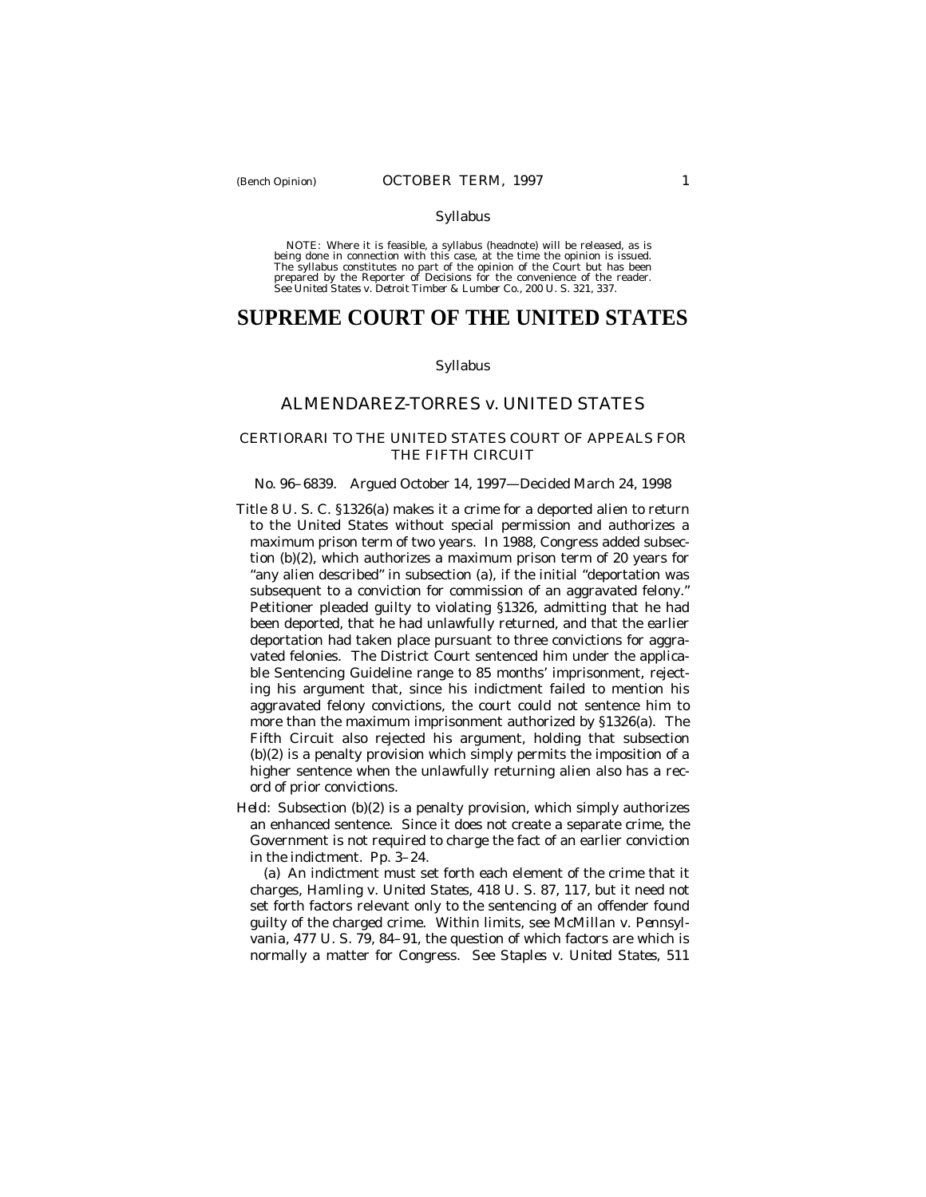#### Syllabus

NOTE: Where it is feasible, a syllabus (headnote) will be released, as is being done in connection with this case, at the time the opinion is issued. The syllabus constitutes no part of the opinion of the Court but has been<br>prepared by the Reporter of Decisions for the convenience of the reader.<br>See United States v. Detroit Timber & Lumber Co., 200 U. S. 321, 337.

# **SUPREME COURT OF THE UNITED STATES**

### Syllabus

## ALMENDAREZ-TORRES *v.* UNITED STATES

## CERTIORARI TO THE UNITED STATES COURT OF APPEALS FOR THE FIFTH CIRCUIT

#### No. 96–6839. Argued October 14, 1997— Decided March 24, 1998

- Title 8 U. S. C. §1326(a) makes it a crime for a deported alien to return to the United States without special permission and authorizes a maximum prison term of two years. In 1988, Congress added subsection (b)(2), which authorizes a maximum prison term of 20 years for "any alien described" in subsection (a), if the initial "deportation was subsequent to a conviction for commission of an aggravated felony." Petitioner pleaded guilty to violating §1326, admitting that he had been deported, that he had unlawfully returned, and that the earlier deportation had taken place pursuant to three convictions for aggravated felonies. The District Court sentenced him under the applicable Sentencing Guideline range to 85 months' imprisonment, rejecting his argument that, since his indictment failed to mention his aggravated felony convictions, the court could not sentence him to more than the maximum imprisonment authorized by §1326(a). The Fifth Circuit also rejected his argument, holding that subsection (b)(2) is a penalty provision which simply permits the imposition of a higher sentence when the unlawfully returning alien also has a record of prior convictions.
- *Held:* Subsection (b)(2) is a penalty provision, which simply authorizes an enhanced sentence. Since it does not create a separate crime, the Government is not required to charge the fact of an earlier conviction in the indictment. Pp. 3–24.

(a) An indictment must set forth each element of the crime that it charges, *Hamling* v. *United States*, 418 U. S. 87, 117, but it need not set forth factors relevant only to the sentencing of an offender found guilty of the charged crime. Within limits, see *McMillan* v. *Pennsylvania*, 477 U. S. 79, 84–91, the question of which factors are which is normally a matter for Congress. See *Staples* v. *United States*, 511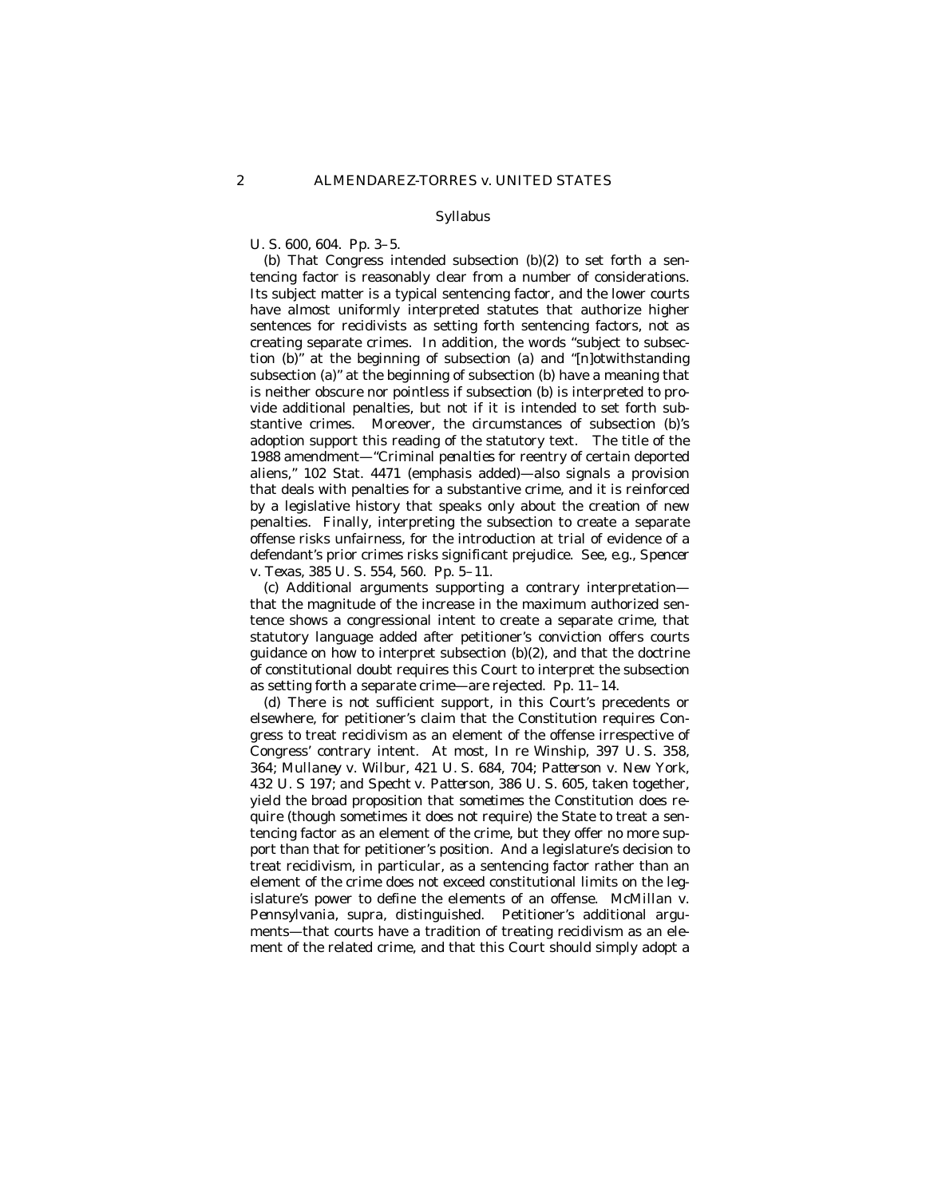#### Syllabus

U. S. 600, 604. Pp. 3–5.

(b) That Congress intended subsection (b)(2) to set forth a sentencing factor is reasonably clear from a number of considerations. Its subject matter is a typical sentencing factor, and the lower courts have almost uniformly interpreted statutes that authorize higher sentences for recidivists as setting forth sentencing factors, not as creating separate crimes. In addition, the words "subject to subsection (b)" at the beginning of subsection (a) and "[n]otwithstanding subsection (a)" at the beginning of subsection (b) have a meaning that is neither obscure nor pointless if subsection (b) is interpreted to provide additional penalties, but not if it is intended to set forth substantive crimes. Moreover, the circumstances of subsection (b)'s adoption support this reading of the statutory text. The title of the 1988 amendment— "Criminal *penalties* for reentry of certain deported aliens," 102 Stat. 4471 (emphasis added)— also signals a provision that deals with penalties for a substantive crime, and it is reinforced by a legislative history that speaks only about the creation of new penalties. Finally, interpreting the subsection to create a separate offense risks unfairness, for the introduction at trial of evidence of a defendant's prior crimes risks significant prejudice. See, *e.g., Spencer* v. *Texas,* 385 U. S. 554, 560. Pp. 5–11.

(c) Additional arguments supporting a contrary interpretation that the magnitude of the increase in the maximum authorized sentence shows a congressional intent to create a separate crime, that statutory language added after petitioner's conviction offers courts guidance on how to interpret subsection (b)(2), and that the doctrine of constitutional doubt requires this Court to interpret the subsection as setting forth a separate crime— are rejected. Pp. 11–14.

(d) There is not sufficient support, in this Court's precedents or elsewhere, for petitioner's claim that the Constitution requires Congress to treat recidivism as an element of the offense irrespective of Congress' contrary intent. At most, *In re Winship,* 397 U. S. 358, 364; *Mullaney* v. *Wilbur*, 421 U. S. 684, 704; *Patterson* v. *New York*, 432 U. S 197; and *Specht* v. *Patterson*, 386 U. S. 605, taken together, yield the broad proposition that *sometimes* the Constitution does require (though sometimes it does not require) the State to treat a sentencing factor as an element of the crime, but they offer no more support than that for petitioner's position. And a legislature's decision to treat recidivism, in particular, as a sentencing factor rather than an element of the crime does not exceed constitutional limits on the legislature's power to define the elements of an offense. *McMillan* v. *Pennsylvania*, *supra,* distinguished. Petitioner's additional arguments— that courts have a tradition of treating recidivism as an element of the related crime, and that this Court should simply adopt a